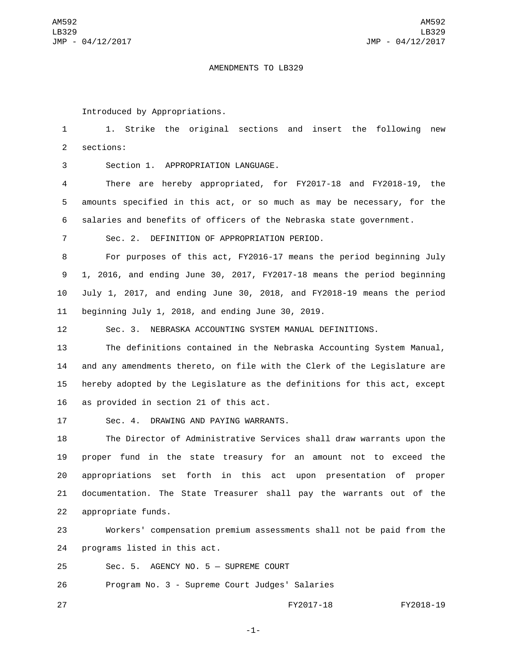## AMENDMENTS TO LB329

Introduced by Appropriations.

1 1. Strike the original sections and insert the following new 2 sections:

3 Section 1. APPROPRIATION LANGUAGE.

4 There are hereby appropriated, for FY2017-18 and FY2018-19, the 5 amounts specified in this act, or so much as may be necessary, for the 6 salaries and benefits of officers of the Nebraska state government.

7 Sec. 2. DEFINITION OF APPROPRIATION PERIOD.

 For purposes of this act, FY2016-17 means the period beginning July 1, 2016, and ending June 30, 2017, FY2017-18 means the period beginning July 1, 2017, and ending June 30, 2018, and FY2018-19 means the period 11 beginning July 1, 2018, and ending June 30, 2019.

12 Sec. 3. NEBRASKA ACCOUNTING SYSTEM MANUAL DEFINITIONS.

 The definitions contained in the Nebraska Accounting System Manual, and any amendments thereto, on file with the Clerk of the Legislature are hereby adopted by the Legislature as the definitions for this act, except 16 as provided in section 21 of this act.

17 Sec. 4. DRAWING AND PAYING WARRANTS.

 The Director of Administrative Services shall draw warrants upon the proper fund in the state treasury for an amount not to exceed the appropriations set forth in this act upon presentation of proper documentation. The State Treasurer shall pay the warrants out of the 22 appropriate funds.

23 Workers' compensation premium assessments shall not be paid from the 24 programs listed in this act.

25 Sec. 5. AGENCY NO. 5 - SUPREME COURT

26 Program No. 3 - Supreme Court Judges' Salaries

27 FY2017-18 FY2018-19

```
-1-
```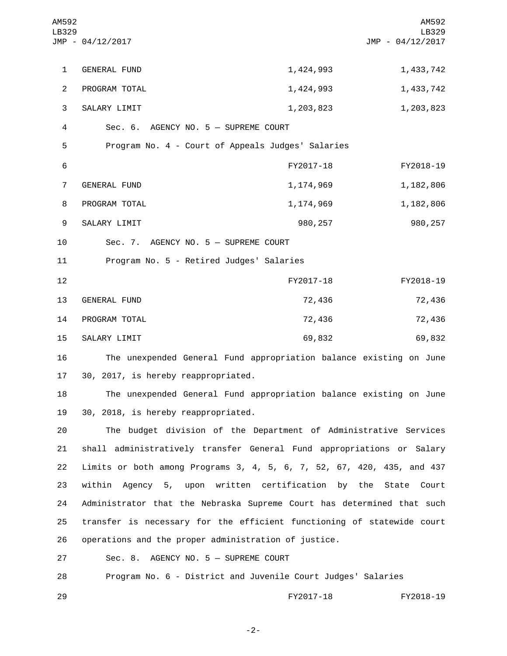| AM592<br>LB329 | JMP - 04/12/2017                                                   |             | AM592<br>LB329<br>JMP - 04/12/2017 |
|----------------|--------------------------------------------------------------------|-------------|------------------------------------|
| $\mathbf{1}$   | <b>GENERAL FUND</b>                                                | 1,424,993   | 1,433,742                          |
| $\overline{2}$ | PROGRAM TOTAL                                                      | 1,424,993   | 1,433,742                          |
| 3              | SALARY LIMIT                                                       | 1,203,823   | 1,203,823                          |
| 4              | Sec. 6. AGENCY NO. 5 - SUPREME COURT                               |             |                                    |
| 5              | Program No. 4 - Court of Appeals Judges' Salaries                  |             |                                    |
| 6              |                                                                    | FY2017-18   | FY2018-19                          |
| 7              | <b>GENERAL FUND</b>                                                | 1, 174, 969 | 1,182,806                          |
| 8              | PROGRAM TOTAL                                                      | 1,174,969   | 1,182,806                          |
| 9              | SALARY LIMIT                                                       | 980,257     | 980, 257                           |
| 10             | Sec. 7. AGENCY NO. 5 - SUPREME COURT                               |             |                                    |
| 11             | Program No. 5 - Retired Judges' Salaries                           |             |                                    |
| 12             |                                                                    | FY2017-18   | FY2018-19                          |
| 13             | <b>GENERAL FUND</b>                                                | 72,436      | 72,436                             |
| 14             | PROGRAM TOTAL                                                      | 72,436      | 72,436                             |
| 15             | SALARY LIMIT                                                       | 69,832      | 69,832                             |
| 16             | The unexpended General Fund appropriation balance existing on June |             |                                    |
| 17             | 30, 2017, is hereby reappropriated.                                |             |                                    |
| 18             | The unexpended General Fund appropriation balance existing on June |             |                                    |
| 19             | 30, 2018, is hereby reappropriated.                                |             |                                    |

 The budget division of the Department of Administrative Services shall administratively transfer General Fund appropriations or Salary Limits or both among Programs 3, 4, 5, 6, 7, 52, 67, 420, 435, and 437 within Agency 5, upon written certification by the State Court Administrator that the Nebraska Supreme Court has determined that such transfer is necessary for the efficient functioning of statewide court operations and the proper administration of justice.

27 Sec. 8. AGENCY NO. 5 - SUPREME COURT

28 Program No. 6 - District and Juvenile Court Judges' Salaries

29 FY2017-18 FY2018-19

-2-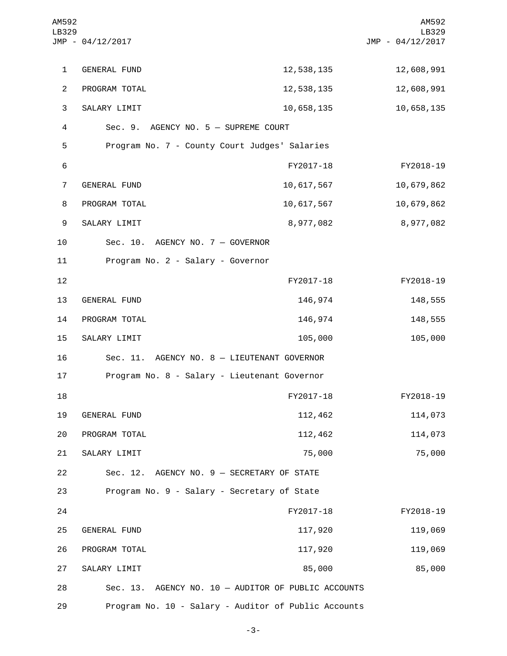| AM592<br>LB329 | JMP - 04/12/2017                                     |            | AM592<br>LB329<br>JMP - 04/12/2017 |
|----------------|------------------------------------------------------|------------|------------------------------------|
| $\mathbf{1}$   | GENERAL FUND                                         | 12,538,135 | 12,608,991                         |
| $\overline{2}$ | PROGRAM TOTAL                                        | 12,538,135 | 12,608,991                         |
| 3              | SALARY LIMIT                                         | 10,658,135 | 10,658,135                         |
| 4              | Sec. 9. AGENCY NO. 5 - SUPREME COURT                 |            |                                    |
| 5              | Program No. 7 - County Court Judges' Salaries        |            |                                    |
| 6              |                                                      | FY2017-18  | FY2018-19                          |
| 7              | <b>GENERAL FUND</b>                                  | 10,617,567 | 10,679,862                         |
| 8              | PROGRAM TOTAL                                        | 10,617,567 | 10,679,862                         |
| 9              | SALARY LIMIT                                         | 8,977,082  | 8,977,082                          |
| 10             | Sec. 10. AGENCY NO. 7 - GOVERNOR                     |            |                                    |
| 11             | Program No. 2 - Salary - Governor                    |            |                                    |
| 12             |                                                      | FY2017-18  | FY2018-19                          |
| 13             | GENERAL FUND                                         | 146,974    | 148,555                            |
| 14             | PROGRAM TOTAL                                        | 146,974    | 148,555                            |
| 15             | SALARY LIMIT                                         | 105,000    | 105,000                            |
| 16             | Sec. 11. AGENCY NO. 8 - LIEUTENANT GOVERNOR          |            |                                    |
| 17             | Program No. 8 - Salary - Lieutenant Governor         |            |                                    |
| 18             |                                                      | FY2017-18  | FY2018-19                          |
| 19             | GENERAL FUND                                         | 112,462    | 114,073                            |
| 20             | PROGRAM TOTAL                                        | 112,462    | 114,073                            |
| 21             | SALARY LIMIT                                         | 75,000     | 75,000                             |
| 22             | Sec. 12. AGENCY NO. 9 - SECRETARY OF STATE           |            |                                    |
| 23             | Program No. 9 - Salary - Secretary of State          |            |                                    |
| 24             |                                                      | FY2017-18  | FY2018-19                          |
| 25             | GENERAL FUND                                         | 117,920    | 119,069                            |
| 26             | PROGRAM TOTAL                                        | 117,920    | 119,069                            |
| 27             | SALARY LIMIT                                         | 85,000     | 85,000                             |
| 28             | Sec. 13. AGENCY NO. 10 - AUDITOR OF PUBLIC ACCOUNTS  |            |                                    |
| 29             | Program No. 10 - Salary - Auditor of Public Accounts |            |                                    |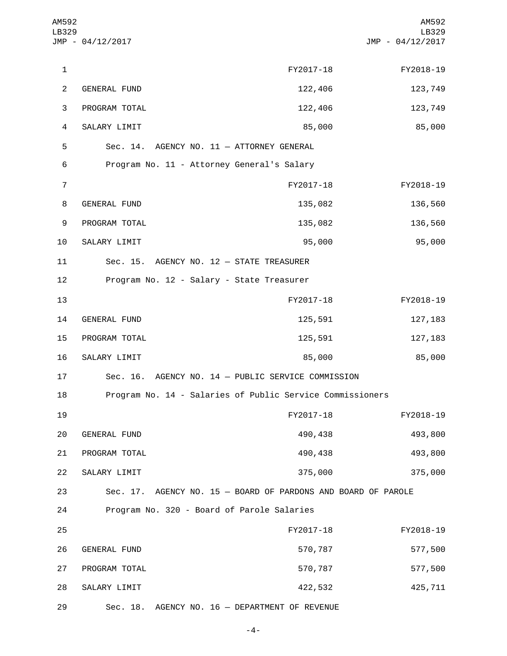| AM592<br>LB329 | JMP - 04/12/2017                                              |           | AM592<br>LB329<br>JMP - 04/12/2017 |
|----------------|---------------------------------------------------------------|-----------|------------------------------------|
| $\mathbf{1}$   |                                                               | FY2017-18 | FY2018-19                          |
| $\overline{2}$ | GENERAL FUND                                                  | 122,406   | 123,749                            |
| 3              | PROGRAM TOTAL                                                 | 122,406   | 123,749                            |
| $\overline{4}$ | SALARY LIMIT                                                  | 85,000    | 85,000                             |
| 5              | Sec. 14. AGENCY NO. 11 - ATTORNEY GENERAL                     |           |                                    |
| 6              | Program No. 11 - Attorney General's Salary                    |           |                                    |
| $\overline{7}$ |                                                               | FY2017-18 | FY2018-19                          |
| 8              | <b>GENERAL FUND</b>                                           | 135,082   | 136,560                            |
| 9              | PROGRAM TOTAL                                                 | 135,082   | 136,560                            |
| 10             | SALARY LIMIT                                                  | 95,000    | 95,000                             |
| 11             | Sec. 15. AGENCY NO. 12 - STATE TREASURER                      |           |                                    |
| 12             | Program No. 12 - Salary - State Treasurer                     |           |                                    |
| 13             |                                                               | FY2017-18 | FY2018-19                          |
| 14             | <b>GENERAL FUND</b>                                           | 125,591   | 127, 183                           |
| 15             | PROGRAM TOTAL                                                 | 125,591   | 127, 183                           |
| 16             | SALARY LIMIT                                                  | 85,000    | 85,000                             |
| 17             | Sec. 16. AGENCY NO. 14 - PUBLIC SERVICE COMMISSION            |           |                                    |
| 18             | Program No. 14 - Salaries of Public Service Commissioners     |           |                                    |
| 19             |                                                               | FY2017-18 | FY2018-19                          |
| 20             | <b>GENERAL FUND</b>                                           | 490,438   | 493,800                            |
| 21             | PROGRAM TOTAL                                                 | 490,438   | 493,800                            |
| 22             | SALARY LIMIT                                                  | 375,000   | 375,000                            |
| 23             | Sec. 17. AGENCY NO. 15 - BOARD OF PARDONS AND BOARD OF PAROLE |           |                                    |
| 24             | Program No. 320 - Board of Parole Salaries                    |           |                                    |
| 25             |                                                               | FY2017-18 | FY2018-19                          |
| 26             | GENERAL FUND                                                  | 570,787   | 577,500                            |
| 27             | PROGRAM TOTAL                                                 | 570,787   | 577,500                            |
| 28             | SALARY LIMIT                                                  | 422,532   | 425,711                            |
| 29             | Sec. 18. AGENCY NO. 16 - DEPARTMENT OF REVENUE                |           |                                    |

-4-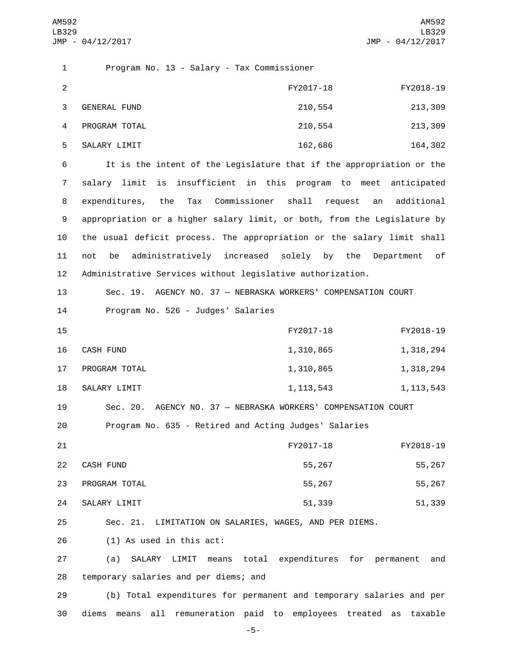| $\mathbf{1}$   | Program No. 13 - Salary - Tax Commissioner                               |
|----------------|--------------------------------------------------------------------------|
| 2              | FY2017-18<br>FY2018-19                                                   |
| 3              | 213,309<br><b>GENERAL FUND</b><br>210,554                                |
| 4              | 213,309<br>210,554<br>PROGRAM TOTAL                                      |
| 5              | SALARY LIMIT<br>162,686<br>164,302                                       |
| 6              | It is the intent of the Legislature that if the appropriation or the     |
| $\overline{7}$ | salary limit is insufficient in this program to meet anticipated         |
| 8              | expenditures, the Tax Commissioner shall request an additional           |
| 9              | appropriation or a higher salary limit, or both, from the Legislature by |

10 the usual deficit process. The appropriation or the salary limit shall 11 not be administratively increased solely by the Department of 12 Administrative Services without legislative authorization.

13 Sec. 19. AGENCY NO. 37 — NEBRASKA WORKERS' COMPENSATION COURT 14 Program No. 526 - Judges' Salaries

| 15 |               | FY2017-18   | FY2018-19 |
|----|---------------|-------------|-----------|
| 16 | CASH FUND     | 1,310,865   | 1,318,294 |
| 17 | PROGRAM TOTAL | 1,310,865   | 1,318,294 |
| 18 | SALARY LIMIT  | 1, 113, 543 | 1,113,543 |

19 Sec. 20. AGENCY NO. 37 — NEBRASKA WORKERS' COMPENSATION COURT

20 Program No. 635 - Retired and Acting Judges' Salaries

| -21 |               | FY2017-18 | FY2018-19 |
|-----|---------------|-----------|-----------|
| 22  | CASH FUND     | 55,267    | 55,267    |
| 23  | PROGRAM TOTAL | 55,267    | 55,267    |
| 24  | SALARY LIMIT  | 51,339    | 51,339    |

25 Sec. 21. LIMITATION ON SALARIES, WAGES, AND PER DIEMS.

26 (1) As used in this act:

27 (a) SALARY LIMIT means total expenditures for permanent and 28 temporary salaries and per diems; and

29 (b) Total expenditures for permanent and temporary salaries and per 30 diems means all remuneration paid to employees treated as taxable

-5-